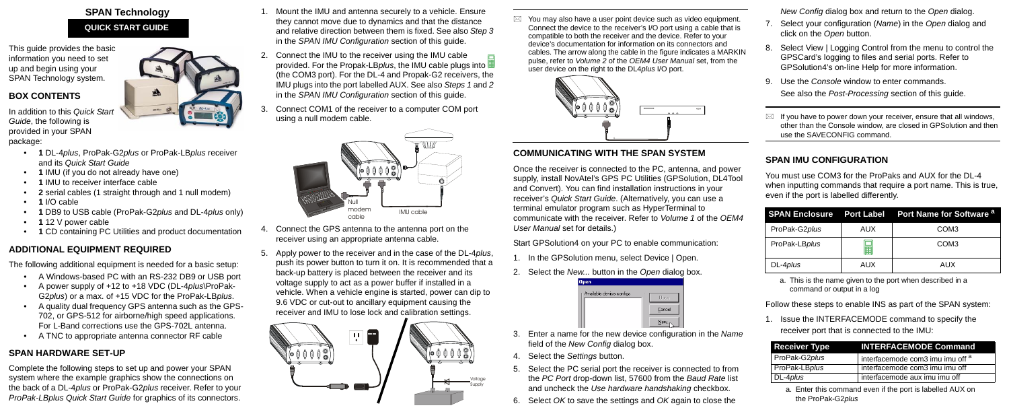This guide provides the basic information you need to set up and begin using your SPAN Technology system.

### **BOX CONTENTS**

In addition to this *Quick Start Guide*, the following is provided in your SPAN package:

- **1** DL-4*plus*, ProPak-G2*plus* or ProPak-LB*plus* receiver and its *Quick Start Guide*
- **1** IMU (if you do not already have one)
- **1** IMU to receiver interface cable
- **2** serial cables (1 straight through and 1 null modem)
- **1** I/O cable
- **1** DB9 to USB cable (ProPak-G2*plus* and DL-4*plus* only)
- **1** 12 V power cable
- **1** CD containing PC Utilities and product documentation

# **ADDITIONAL EQUIPMENT REQUIRED**

The following additional equipment is needed for a basic setup:

- A Windows-based PC with an RS-232 DB9 or USB port
- A power supply of +12 to +18 VDC (DL-4*plus*\ProPak-G2*plus*) or a max. of +15 VDC for the ProPak-LB*plus*.
- A quality dual frequency GPS antenna such as the GPS-702, or GPS-512 for airborne/high speed applications. For L-Band corrections use the GPS-702L antenna.
- A TNC to appropriate antenna connector RF cable

## **SPAN HARDWARE SET-UP**

Complete the following steps to set up and power your SPAN system where the example graphics show the connections on the back of a DL-4*plus* or ProPak-G2*plus* receiver. Refer to your *ProPak-LBplus Quick Start Guide* for graphics of its connectors.

 $\boxtimes$  You may also have a user point device such as video equipment. Connect the device to the receiver's I/O port using a cable that is compatible to both the receiver and the device. Refer to your device's documentation for information on its connectors and cables. The arrow along the cable in the figure indicates a MARKIN pulse, refer to *Volume 2* of the *OEM4 User Manual* set, from the user device on the right to the DL4*plus* I/O port.



- 1. Mount the IMU and antenna securely to a vehicle. Ensure they cannot move due to dynamics and that the distance and relative direction between them is fixed. See also *Step 3* in the *SPAN IMU Configuration* section of this guide.
- 2. Connect the IMU to the receiver using the IMU cable provided. For the Propak-LB*plus*, the IMU cable plugs into (the COM3 port). For the DL-4 and Propak-G2 receivers, the IMU plugs into the port labelled AUX. See also *Steps 1* and *2* in the *SPAN IMU Configuration* section of this guide.
- 3. Connect COM1 of the receiver to a computer COM port using a null modem cable.

- 4. Connect the GPS antenna to the antenna port on the receiver using an appropriate antenna cable.
- 5. Apply power to the receiver and in the case of the DL-4*plus*, push its power button to turn it on. It is recommended that a back-up battery is placed between the receiver and its voltage supply to act as a power buffer if installed in a vehicle. When a vehicle engine is started, power can dip to 9.6 VDC or cut-out to ancillary equipment causing the receiver and IMU to lose lock and calibration settings.

## **SPAN Technology QUICK START GUIDE**

## **COMMUNICATING WITH THE SPAN SYSTEM**

Once the receiver is connected to the PC, antenna, and power supply, install NovAtel's GPS PC Utilities (GPSolution, DL4Tool and Convert). You can find installation instructions in your receiver's *Quick Start Guide*. (Alternatively, you can use a terminal emulator program such as HyperTerminal to communicate with the receiver. Refer to *Volume 1* of the *OEM4 User Manual* set for details.)

Start GPSolution4 on your PC to enable communication:

- 1. In the GPSolution menu, select Device | Open.
- 2. Select the *New...* button in the *Open* dialog box.

| <b>Open</b>               |        |
|---------------------------|--------|
| Available device configs: | Open   |
|                           | Cancel |
|                           | New    |

- 3. Enter a name for the new device configuration in the *Name* field of the *New Config* dialog box.
- 4. Select the *Settings* button.
- 5. Select the PC serial port the receiver is connected to from the *PC Port* drop-down list, 57600 from the *Baud Rate* list and uncheck the *Use hardware handshaking* checkbox.
- 6. Select *OK* to save the settings and *OK* again to close the



*New Config* dialog box and return to the *Open* dialog.

- 7. Select your configuration (*Name*) in the *Open* dialog and click on the *Open* button.
- 8. Select View | Logging Control from the menu to control the GPSCard's logging to files and serial ports. Refer to GPSolution4's on-line Help for more information.
- 9. Use the *Console* window to enter commands. See also the *Post-Processing* section of this guide.
- $\boxtimes$  If you have to power down your receiver, ensure that all windows, other than the Console window, are closed in GPSolution and then use the SAVECONFIG command.

#### **SPAN IMU CONFIGURATION**

You must use COM3 for the ProPaks and AUX for the DL-4 when inputting commands that require a port name. This is true, even if the port is labelled differently.

Follow these steps to enable INS as part of the SPAN system:

1. Issue the INTERFACEMODE command to specify the receiver port that is connected to the IMU:





a. This is the name given to the port when described in a command or output in a log

|                  |     | <b>SPAN Enclosure</b> Port Label Port Name for Software <sup>a</sup> |
|------------------|-----|----------------------------------------------------------------------|
| ProPak-G2plus    | AUX | COM <sub>3</sub>                                                     |
| ProPak-LBplus    | 醞   | COM <sub>3</sub>                                                     |
| DL-4 <i>plus</i> | AUX | AUX                                                                  |

| <b>Receiver Type</b> | <b>INTERFACEMODE Command</b>                |
|----------------------|---------------------------------------------|
| ProPak-G2plus        | interfacemode com3 imu imu off <sup>a</sup> |
| ProPak-LBplus        | interfacemode com3 imu imu off              |
| DL-4plus             | interfacemode aux imu imu off               |

a. Enter this command even if the port is labelled AUX on the ProPak-G2*plus*